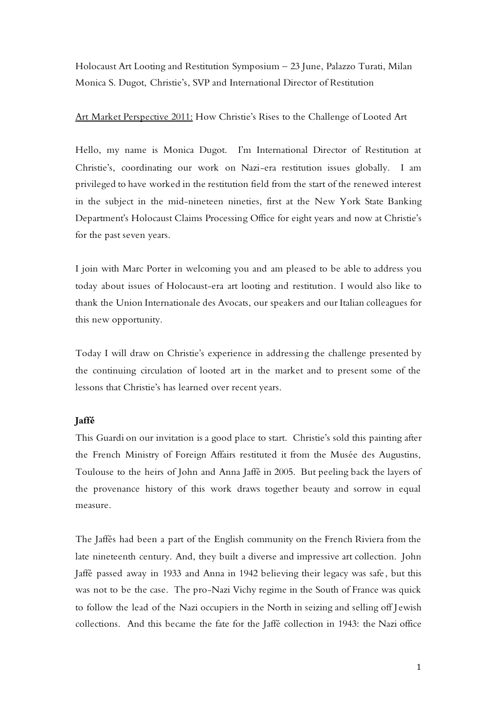Holocaust Art Looting and Restitution Symposium – 23 June, Palazzo Turati, Milan Monica S. Dugot, Christie's, SVP and International Director of Restitution

# Art Market Perspective 2011: How Christie's Rises to the Challenge of Looted Art

Hello, my name is Monica Dugot. I'm International Director of Restitution at Christie's, coordinating our work on Nazi-era restitution issues globally. I am privileged to have worked in the restitution field from the start of the renewed interest in the subject in the mid-nineteen nineties, first at the New York State Banking Department's Holocaust Claims Processing Office for eight years and now at Christie's for the past seven years.

I join with Marc Porter in welcoming you and am pleased to be able to address you today about issues of Holocaust-era art looting and restitution. I would also like to thank the Union Internationale des Avocats, our speakers and our Italian colleagues for this new opportunity.

Today I will draw on Christie's experience in addressing the challenge presented by the continuing circulation of looted art in the market and to present some of the lessons that Christie's has learned over recent years.

# **Jaffé**

This Guardi on our invitation is a good place to start. Christie's sold this painting after the French Ministry of Foreign Affairs restituted it from the Musée des Augustins, Toulouse to the heirs of John and Anna Jaffé in 2005. But peeling back the layers of the provenance history of this work draws together beauty and sorrow in equal measure.

The Jaffés had been a part of the English community on the French Riviera from the late nineteenth century. And, they built a diverse and impressive art collection. John Jaffé passed away in 1933 and Anna in 1942 believing their legacy was safe , but this was not to be the case. The pro-Nazi Vichy regime in the South of France was quick to follow the lead of the Nazi occupiers in the North in seizing and selling off Jewish collections. And this became the fate for the Jaffé collection in 1943: the Nazi office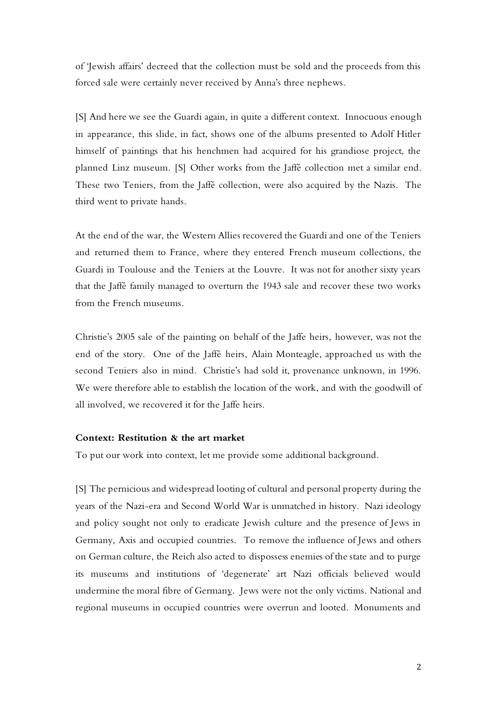of 'Jewish affairs' decreed that the collection must be sold and the proceeds from this forced sale were certainly never received by Anna's three nephews.

[S] And here we see the Guardi again, in quite a different context. Innocuous enough in appearance, this slide, in fact, shows one of the albums presented to Adolf Hitler himself of paintings that his henchmen had acquired for his grandiose project, the planned Linz museum. [S] Other works from the Jaffé collection met a similar end. These two Teniers, from the Jaffé collection, were also acquired by the Nazis. The third went to private hands.

At the end of the war, the Western Allies recovered the Guardi and one of the Teniers and returned them to France, where they entered French museum collections, the Guardi in Toulouse and the Teniers at the Louvre. It was not for another sixty years that the Jaffé family managed to overturn the 1943 sale and recover these two works from the French museums.

Christie's 2005 sale of the painting on behalf of the Jaffe heirs, however, was not the end of the story. One of the Jaffé heirs, Alain Monteagle, approached us with the second Teniers also in mind. Christie's had sold it, provenance unknown, in 1996. We were therefore able to establish the location of the work, and with the goodwill of all involved, we recovered it for the Jaffe heirs.

# **Context: Restitution & the art market**

To put our work into context, let me provide some additional background.

[S] The pernicious and widespread looting of cultural and personal property during the years of the Nazi-era and Second World War is unmatched in history. Nazi ideology and policy sought not only to eradicate Jewish culture and the presence of Jews in Germany, Axis and occupied countries. To remove the influence of Jews and others on German culture, the Reich also acted to dispossess enemies of the state and to purge its museums and institutions of 'degenerate' art Nazi officials believed would undermine the moral fibre of Germany. Jews were not the only victims. National and regional museums in occupied countries were overrun and looted. Monuments and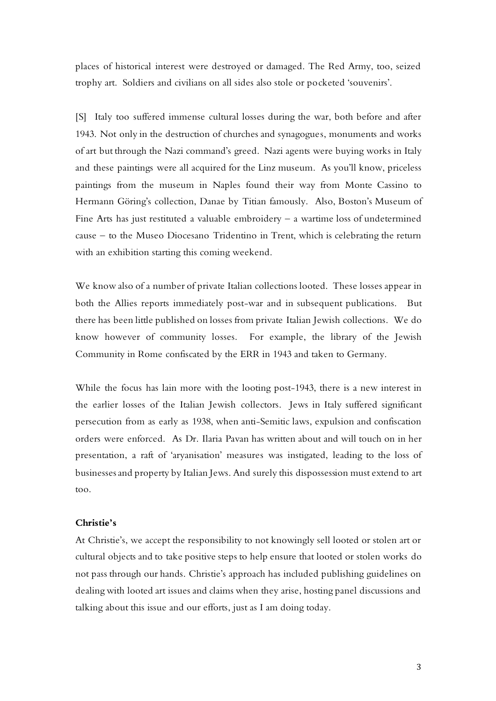places of historical interest were destroyed or damaged. The Red Army, too, seized trophy art. Soldiers and civilians on all sides also stole or pocketed 'souvenirs'.

[S] Italy too suffered immense cultural losses during the war, both before and after 1943. Not only in the destruction of churches and synagogues, monuments and works of art but through the Nazi command's greed. Nazi agents were buying works in Italy and these paintings were all acquired for the Linz museum. As you'll know, priceless paintings from the museum in Naples found their way from Monte Cassino to Hermann Göring's collection, Danae by Titian famously. Also, Boston's Museum of Fine Arts has just restituted a valuable embroidery  $-$  a wartime loss of undetermined cause – to the Museo Diocesano Tridentino in Trent, which is celebrating the return with an exhibition starting this coming weekend.

We know also of a number of private Italian collections looted. These losses appear in both the Allies reports immediately post-war and in subsequent publications. But there has been little published on losses from private Italian Jewish collections. We do know however of community losses. For example, the library of the Jewish Community in Rome confiscated by the ERR in 1943 and taken to Germany.

While the focus has lain more with the looting post-1943, there is a new interest in the earlier losses of the Italian Jewish collectors. Jews in Italy suffered significant persecution from as early as 1938, when anti-Semitic laws, expulsion and confiscation orders were enforced. As Dr. Ilaria Pavan has written about and will touch on in her presentation, a raft of 'aryanisation' measures was instigated, leading to the loss of businesses and property by Italian Jews. And surely this dispossession must extend to art too.

## **Christie's**

At Christie's, we accept the responsibility to not knowingly sell looted or stolen art or cultural objects and to take positive steps to help ensure that looted or stolen works do not pass through our hands. Christie's approach has included publishing guidelines on dealing with looted art issues and claims when they arise, hosting panel discussions and talking about this issue and our efforts, just as I am doing today.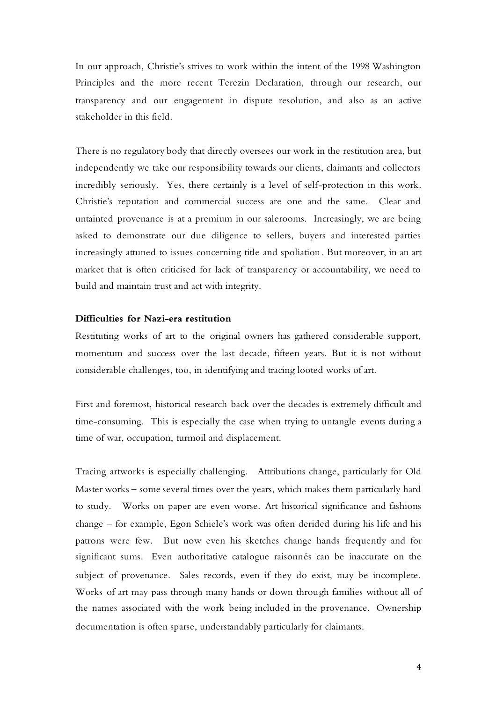In our approach, Christie's strives to work within the intent of the 1998 Washington Principles and the more recent Terezin Declaration, through our research, our transparency and our engagement in dispute resolution, and also as an active stakeholder in this field.

There is no regulatory body that directly oversees our work in the restitution area, but independently we take our responsibility towards our clients, claimants and collectors incredibly seriously. Yes, there certainly is a level of self-protection in this work. Christie's reputation and commercial success are one and the same. Clear and untainted provenance is at a premium in our salerooms. Increasingly, we are being asked to demonstrate our due diligence to sellers, buyers and interested parties increasingly attuned to issues concerning title and spoliation. But moreover, in an art market that is often criticised for lack of transparency or accountability, we need to build and maintain trust and act with integrity.

## **Difficulties for Nazi-era restitution**

Restituting works of art to the original owners has gathered considerable support, momentum and success over the last decade, fifteen years. But it is not without considerable challenges, too, in identifying and tracing looted works of art.

First and foremost, historical research back over the decades is extremely difficult and time-consuming. This is especially the case when trying to untangle events during a time of war, occupation, turmoil and displacement.

Tracing artworks is especially challenging. Attributions change, particularly for Old Master works – some several times over the years, which makes them particularly hard to study. Works on paper are even worse. Art historical significance and fashions change – for example, Egon Schiele's work was often derided during his life and his patrons were few. But now even his sketches change hands frequently and for significant sums. Even authoritative catalogue raisonnés can be inaccurate on the subject of provenance. Sales records, even if they do exist, may be incomplete. Works of art may pass through many hands or down through families without all of the names associated with the work being included in the provenance. Ownership documentation is often sparse, understandably particularly for claimants.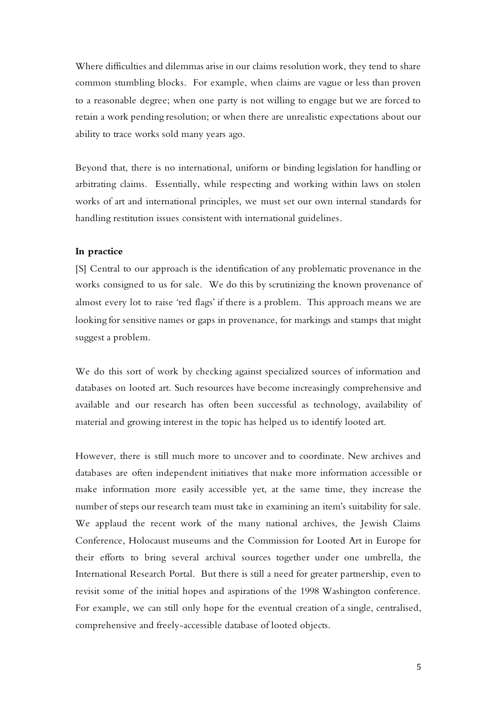Where difficulties and dilemmas arise in our claims resolution work, they tend to share common stumbling blocks. For example, when claims are vague or less than proven to a reasonable degree; when one party is not willing to engage but we are forced to retain a work pending resolution; or when there are unrealistic expectations about our ability to trace works sold many years ago.

Beyond that, there is no international, uniform or binding legislation for handling or arbitrating claims. Essentially, while respecting and working within laws on stolen works of art and international principles, we must set our own internal standards for handling restitution issues consistent with international guidelines.

#### **In practice**

[S] Central to our approach is the identification of any problematic provenance in the works consigned to us for sale. We do this by scrutinizing the known provenance of almost every lot to raise 'red flags' if there is a problem. This approach means we are looking for sensitive names or gaps in provenance, for markings and stamps that might suggest a problem.

We do this sort of work by checking against specialized sources of information and databases on looted art. Such resources have become increasingly comprehensive and available and our research has often been successful as technology, availability of material and growing interest in the topic has helped us to identify looted art.

However, there is still much more to uncover and to coordinate. New archives and databases are often independent initiatives that make more information accessible or make information more easily accessible yet, at the same time, they increase the number of steps our research team must take in examining an item's suitability for sale. We applaud the recent work of the many national archives, the Jewish Claims Conference, Holocaust museums and the Commission for Looted Art in Europe for their efforts to bring several archival sources together under one umbrella, the International Research Portal. But there is still a need for greater partnership, even to revisit some of the initial hopes and aspirations of the 1998 Washington conference. For example, we can still only hope for the eventual creation of a single, centralised, comprehensive and freely-accessible database of looted objects.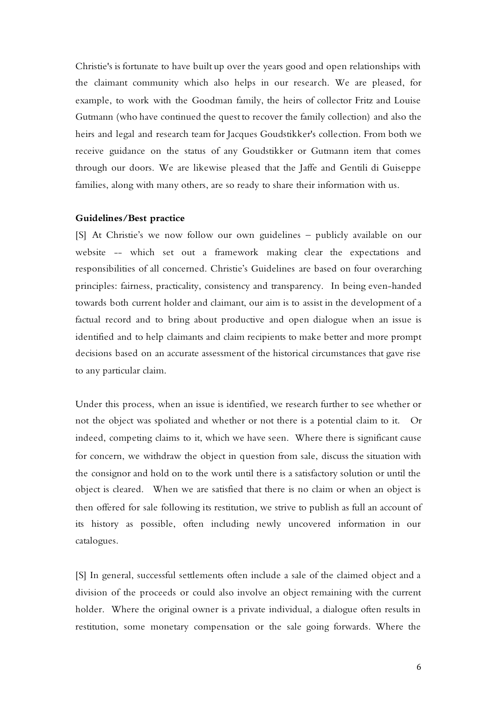Christie's is fortunate to have built up over the years good and open relationships with the claimant community which also helps in our research. We are pleased, for example, to work with the Goodman family, the heirs of collector Fritz and Louise Gutmann (who have continued the quest to recover the family collection) and also the heirs and legal and research team for Jacques Goudstikker's collection. From both we receive guidance on the status of any Goudstikker or Gutmann item that comes through our doors. We are likewise pleased that the Jaffe and Gentili di Guiseppe families, along with many others, are so ready to share their information with us.

### **Guidelines/Best practice**

[S] At Christie's we now follow our own guidelines – publicly available on our website -- which set out a framework making clear the expectations and responsibilities of all concerned. Christie's Guidelines are based on four overarching principles: fairness, practicality, consistency and transparency. In being even-handed towards both current holder and claimant, our aim is to assist in the development of a factual record and to bring about productive and open dialogue when an issue is identified and to help claimants and claim recipients to make better and more prompt decisions based on an accurate assessment of the historical circumstances that gave rise to any particular claim.

Under this process, when an issue is identified, we research further to see whether or not the object was spoliated and whether or not there is a potential claim to it. Or indeed, competing claims to it, which we have seen. Where there is significant cause for concern, we withdraw the object in question from sale, discuss the situation with the consignor and hold on to the work until there is a satisfactory solution or until the object is cleared. When we are satisfied that there is no claim or when an object is then offered for sale following its restitution, we strive to publish as full an account of its history as possible, often including newly uncovered information in our catalogues.

[S] In general, successful settlements often include a sale of the claimed object and a division of the proceeds or could also involve an object remaining with the current holder. Where the original owner is a private individual, a dialogue often results in restitution, some monetary compensation or the sale going forwards. Where the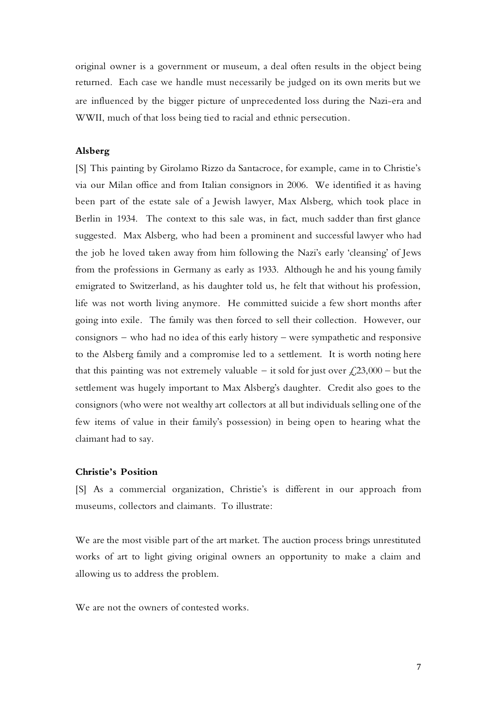original owner is a government or museum, a deal often results in the object being returned. Each case we handle must necessarily be judged on its own merits but we are influenced by the bigger picture of unprecedented loss during the Nazi-era and WWII, much of that loss being tied to racial and ethnic persecution.

## **Alsberg**

[S] This painting by Girolamo Rizzo da Santacroce, for example, came in to Christie's via our Milan office and from Italian consignors in 2006. We identified it as having been part of the estate sale of a Jewish lawyer, Max Alsberg, which took place in Berlin in 1934. The context to this sale was, in fact, much sadder than first glance suggested. Max Alsberg, who had been a prominent and successful lawyer who had the job he loved taken away from him following the Nazi's early 'cleansing' of Jews from the professions in Germany as early as 1933. Although he and his young family emigrated to Switzerland, as his daughter told us, he felt that without his profession, life was not worth living anymore. He committed suicide a few short months after going into exile. The family was then forced to sell their collection. However, our consignors – who had no idea of this early history – were sympathetic and responsive to the Alsberg family and a compromise led to a settlement. It is worth noting here that this painting was not extremely valuable – it sold for just over  $\text{\textsterling}23,000$  – but the settlement was hugely important to Max Alsberg's daughter. Credit also goes to the consignors (who were not wealthy art collectors at all but individuals selling one of the few items of value in their family's possession) in being open to hearing what the claimant had to say.

#### **Christie's Position**

[S] As a commercial organization, Christie's is different in our approach from museums, collectors and claimants. To illustrate:

We are the most visible part of the art market. The auction process brings unrestituted works of art to light giving original owners an opportunity to make a claim and allowing us to address the problem.

We are not the owners of contested works.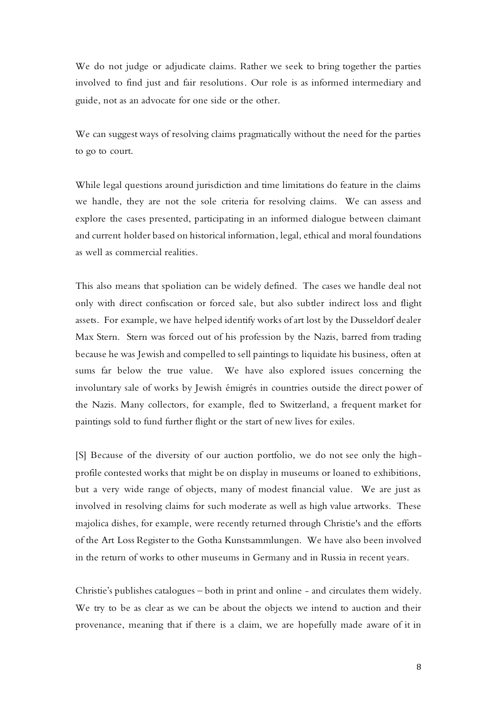We do not judge or adjudicate claims. Rather we seek to bring together the parties involved to find just and fair resolutions. Our role is as informed intermediary and guide, not as an advocate for one side or the other.

We can suggest ways of resolving claims pragmatically without the need for the parties to go to court.

While legal questions around jurisdiction and time limitations do feature in the claims we handle, they are not the sole criteria for resolving claims. We can assess and explore the cases presented, participating in an informed dialogue between claimant and current holder based on historical information, legal, ethical and moral foundations as well as commercial realities.

This also means that spoliation can be widely defined. The cases we handle deal not only with direct confiscation or forced sale, but also subtler indirect loss and flight assets. For example, we have helped identify works of art lost by the Dusseldorf dealer Max Stern. Stern was forced out of his profession by the Nazis, barred from trading because he was Jewish and compelled to sell paintings to liquidate his business, often at sums far below the true value. We have also explored issues concerning the involuntary sale of works by Jewish émigrés in countries outside the direct power of the Nazis. Many collectors, for example, fled to Switzerland, a frequent market for paintings sold to fund further flight or the start of new lives for exiles.

[S] Because of the diversity of our auction portfolio, we do not see only the highprofile contested works that might be on display in museums or loaned to exhibitions, but a very wide range of objects, many of modest financial value. We are just as involved in resolving claims for such moderate as well as high value artworks. These majolica dishes, for example, were recently returned through Christie's and the efforts of the Art Loss Register to the Gotha Kunstsammlungen. We have also been involved in the return of works to other museums in Germany and in Russia in recent years.

Christie's publishes catalogues – both in print and online - and circulates them widely. We try to be as clear as we can be about the objects we intend to auction and their provenance, meaning that if there is a claim, we are hopefully made aware of it in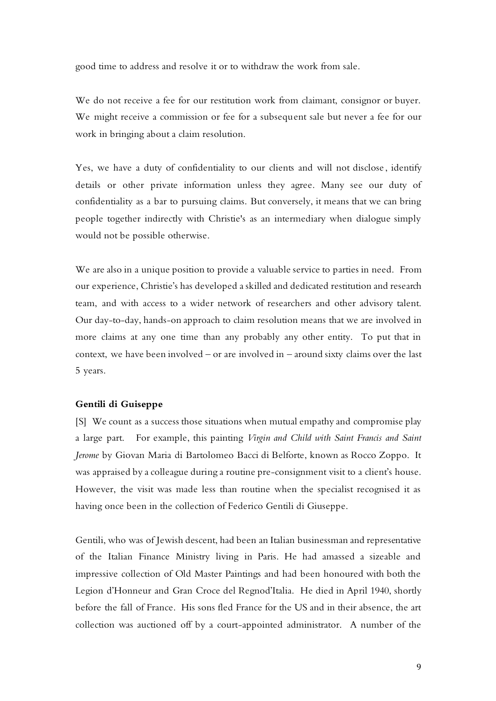good time to address and resolve it or to withdraw the work from sale.

We do not receive a fee for our restitution work from claimant, consignor or buyer. We might receive a commission or fee for a subsequent sale but never a fee for our work in bringing about a claim resolution.

Yes, we have a duty of confidentiality to our clients and will not disclose , identify details or other private information unless they agree. Many see our duty of confidentiality as a bar to pursuing claims. But conversely, it means that we can bring people together indirectly with Christie's as an intermediary when dialogue simply would not be possible otherwise.

We are also in a unique position to provide a valuable service to parties in need. From our experience, Christie's has developed a skilled and dedicated restitution and research team, and with access to a wider network of researchers and other advisory talent. Our day-to-day, hands-on approach to claim resolution means that we are involved in more claims at any one time than any probably any other entity. To put that in context, we have been involved – or are involved in – around sixty claims over the last 5 years.

#### **Gentili di Guiseppe**

[S] We count as a success those situations when mutual empathy and compromise play a large part. For example, this painting *Virgin and Child with Saint Francis and Saint Jerome* by Giovan Maria di Bartolomeo Bacci di Belforte, known as Rocco Zoppo. It was appraised by a colleague during a routine pre-consignment visit to a client's house. However, the visit was made less than routine when the specialist recognised it as having once been in the collection of Federico Gentili di Giuseppe.

Gentili, who was of Jewish descent, had been an Italian businessman and representative of the Italian Finance Ministry living in Paris. He had amassed a sizeable and impressive collection of Old Master Paintings and had been honoured with both the Legion d'Honneur and Gran Croce del Regnod'Italia. He died in April 1940, shortly before the fall of France. His sons fled France for the US and in their absence, the art collection was auctioned off by a court-appointed administrator. A number of the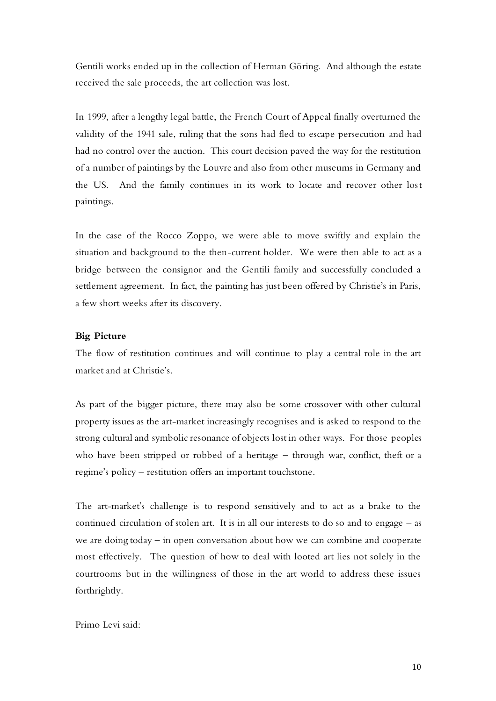Gentili works ended up in the collection of Herman Göring. And although the estate received the sale proceeds, the art collection was lost.

In 1999, after a lengthy legal battle, the French Court of Appeal finally overturned the validity of the 1941 sale, ruling that the sons had fled to escape persecution and had had no control over the auction. This court decision paved the way for the restitution of a number of paintings by the Louvre and also from other museums in Germany and the US. And the family continues in its work to locate and recover other lost paintings.

In the case of the Rocco Zoppo, we were able to move swiftly and explain the situation and background to the then-current holder. We were then able to act as a bridge between the consignor and the Gentili family and successfully concluded a settlement agreement. In fact, the painting has just been offered by Christie's in Paris, a few short weeks after its discovery.

### **Big Picture**

The flow of restitution continues and will continue to play a central role in the art market and at Christie's.

As part of the bigger picture, there may also be some crossover with other cultural property issues as the art-market increasingly recognises and is asked to respond to the strong cultural and symbolic resonance of objects lost in other ways. For those peoples who have been stripped or robbed of a heritage – through war, conflict, theft or a regime's policy – restitution offers an important touchstone.

The art-market's challenge is to respond sensitively and to act as a brake to the continued circulation of stolen art. It is in all our interests to do so and to engage – as we are doing today – in open conversation about how we can combine and cooperate most effectively. The question of how to deal with looted art lies not solely in the courtrooms but in the willingness of those in the art world to address these issues forthrightly.

## Primo Levi said: